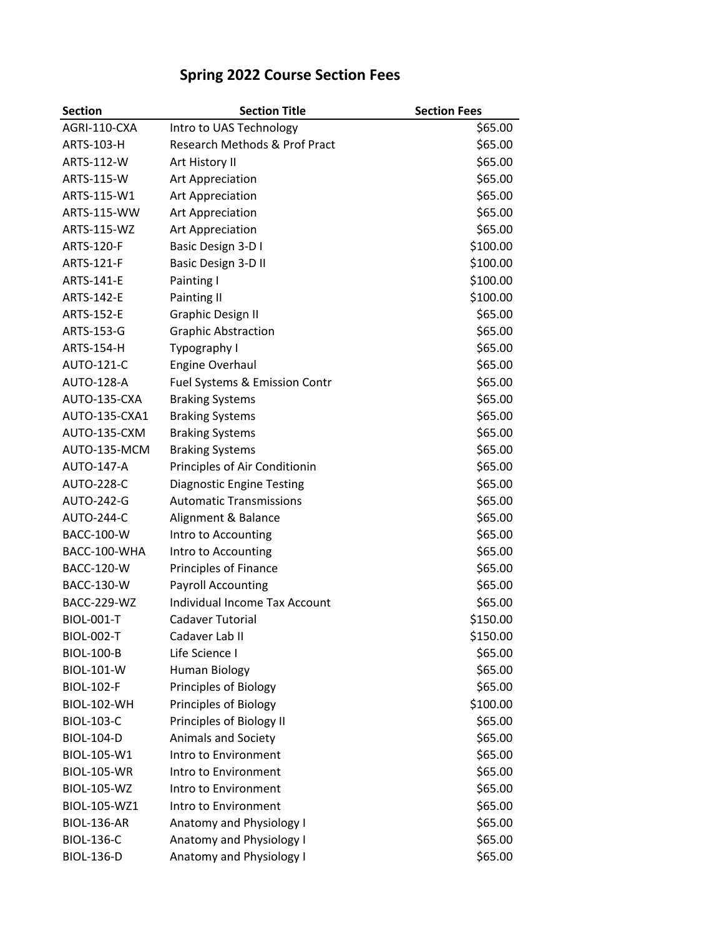| <b>Section</b>     | <b>Section Title</b>                 | <b>Section Fees</b> |
|--------------------|--------------------------------------|---------------------|
| AGRI-110-CXA       | Intro to UAS Technology              | \$65.00             |
| ARTS-103-H         | Research Methods & Prof Pract        | \$65.00             |
| ARTS-112-W         | Art History II                       | \$65.00             |
| ARTS-115-W         | <b>Art Appreciation</b>              | \$65.00             |
| ARTS-115-W1        | <b>Art Appreciation</b>              | \$65.00             |
| ARTS-115-WW        | Art Appreciation                     | \$65.00             |
| ARTS-115-WZ        | <b>Art Appreciation</b>              | \$65.00             |
| <b>ARTS-120-F</b>  | Basic Design 3-D I                   | \$100.00            |
| <b>ARTS-121-F</b>  | Basic Design 3-D II                  | \$100.00            |
| <b>ARTS-141-E</b>  | Painting I                           | \$100.00            |
| ARTS-142-E         | Painting II                          | \$100.00            |
| ARTS-152-E         | <b>Graphic Design II</b>             | \$65.00             |
| ARTS-153-G         | <b>Graphic Abstraction</b>           | \$65.00             |
| <b>ARTS-154-H</b>  | Typography I                         | \$65.00             |
| <b>AUTO-121-C</b>  | <b>Engine Overhaul</b>               | \$65.00             |
| <b>AUTO-128-A</b>  | Fuel Systems & Emission Contr        | \$65.00             |
| AUTO-135-CXA       | <b>Braking Systems</b>               | \$65.00             |
| AUTO-135-CXA1      | <b>Braking Systems</b>               | \$65.00             |
| AUTO-135-CXM       | <b>Braking Systems</b>               | \$65.00             |
| AUTO-135-MCM       | <b>Braking Systems</b>               | \$65.00             |
| <b>AUTO-147-A</b>  | Principles of Air Conditionin        | \$65.00             |
| <b>AUTO-228-C</b>  | <b>Diagnostic Engine Testing</b>     | \$65.00             |
| AUTO-242-G         | <b>Automatic Transmissions</b>       | \$65.00             |
| <b>AUTO-244-C</b>  | Alignment & Balance                  | \$65.00             |
| <b>BACC-100-W</b>  | Intro to Accounting                  | \$65.00             |
| BACC-100-WHA       | Intro to Accounting                  | \$65.00             |
| <b>BACC-120-W</b>  | Principles of Finance                | \$65.00             |
| <b>BACC-130-W</b>  | <b>Payroll Accounting</b>            | \$65.00             |
| <b>BACC-229-WZ</b> | <b>Individual Income Tax Account</b> | \$65.00             |
| <b>BIOL-001-T</b>  | Cadaver Tutorial                     | \$150.00            |
| <b>BIOL-002-T</b>  | Cadaver Lab II                       | \$150.00            |
| <b>BIOL-100-B</b>  | Life Science I                       | \$65.00             |
| <b>BIOL-101-W</b>  | Human Biology                        | \$65.00             |
| <b>BIOL-102-F</b>  | Principles of Biology                | \$65.00             |
| <b>BIOL-102-WH</b> | Principles of Biology                | \$100.00            |
| <b>BIOL-103-C</b>  | Principles of Biology II             | \$65.00             |
| <b>BIOL-104-D</b>  | <b>Animals and Society</b>           | \$65.00             |
| BIOL-105-W1        | Intro to Environment                 | \$65.00             |
| <b>BIOL-105-WR</b> | Intro to Environment                 | \$65.00             |
| <b>BIOL-105-WZ</b> | Intro to Environment                 | \$65.00             |
| BIOL-105-WZ1       | Intro to Environment                 | \$65.00             |
| <b>BIOL-136-AR</b> | Anatomy and Physiology I             | \$65.00             |
| <b>BIOL-136-C</b>  | Anatomy and Physiology I             | \$65.00             |
| <b>BIOL-136-D</b>  | Anatomy and Physiology I             | \$65.00             |

## **Spring 2022 Course Section Fees**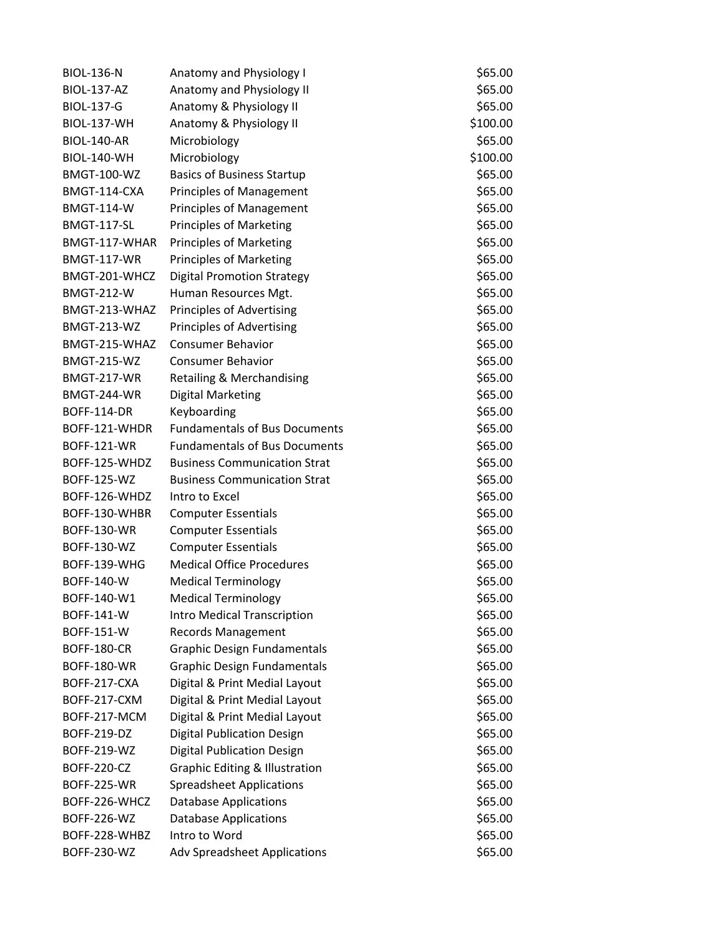| <b>BIOL-136-N</b>  | Anatomy and Physiology I                  | \$65.00  |
|--------------------|-------------------------------------------|----------|
| <b>BIOL-137-AZ</b> | Anatomy and Physiology II                 | \$65.00  |
| <b>BIOL-137-G</b>  | Anatomy & Physiology II                   | \$65.00  |
| <b>BIOL-137-WH</b> | Anatomy & Physiology II                   | \$100.00 |
| <b>BIOL-140-AR</b> | Microbiology                              | \$65.00  |
| <b>BIOL-140-WH</b> | Microbiology                              | \$100.00 |
| <b>BMGT-100-WZ</b> | <b>Basics of Business Startup</b>         | \$65.00  |
| BMGT-114-CXA       | <b>Principles of Management</b>           | \$65.00  |
| <b>BMGT-114-W</b>  | <b>Principles of Management</b>           | \$65.00  |
| BMGT-117-SL        | <b>Principles of Marketing</b>            | \$65.00  |
| BMGT-117-WHAR      | <b>Principles of Marketing</b>            | \$65.00  |
| <b>BMGT-117-WR</b> | <b>Principles of Marketing</b>            | \$65.00  |
| BMGT-201-WHCZ      | <b>Digital Promotion Strategy</b>         | \$65.00  |
| <b>BMGT-212-W</b>  | Human Resources Mgt.                      | \$65.00  |
| BMGT-213-WHAZ      | Principles of Advertising                 | \$65.00  |
| <b>BMGT-213-WZ</b> | <b>Principles of Advertising</b>          | \$65.00  |
| BMGT-215-WHAZ      | <b>Consumer Behavior</b>                  | \$65.00  |
| <b>BMGT-215-WZ</b> | <b>Consumer Behavior</b>                  | \$65.00  |
| <b>BMGT-217-WR</b> | Retailing & Merchandising                 | \$65.00  |
| <b>BMGT-244-WR</b> | <b>Digital Marketing</b>                  | \$65.00  |
| <b>BOFF-114-DR</b> | Keyboarding                               | \$65.00  |
| BOFF-121-WHDR      | <b>Fundamentals of Bus Documents</b>      | \$65.00  |
| <b>BOFF-121-WR</b> | <b>Fundamentals of Bus Documents</b>      | \$65.00  |
| BOFF-125-WHDZ      | <b>Business Communication Strat</b>       | \$65.00  |
| <b>BOFF-125-WZ</b> | <b>Business Communication Strat</b>       | \$65.00  |
| BOFF-126-WHDZ      | Intro to Excel                            | \$65.00  |
| BOFF-130-WHBR      | <b>Computer Essentials</b>                | \$65.00  |
| <b>BOFF-130-WR</b> | <b>Computer Essentials</b>                | \$65.00  |
| <b>BOFF-130-WZ</b> | <b>Computer Essentials</b>                | \$65.00  |
| BOFF-139-WHG       | <b>Medical Office Procedures</b>          | \$65.00  |
| BOFF-140-W         | <b>Medical Terminology</b>                | \$65.00  |
| BOFF-140-W1        | <b>Medical Terminology</b>                | \$65.00  |
| <b>BOFF-141-W</b>  | <b>Intro Medical Transcription</b>        | \$65.00  |
| <b>BOFF-151-W</b>  | <b>Records Management</b>                 | \$65.00  |
| <b>BOFF-180-CR</b> | <b>Graphic Design Fundamentals</b>        | \$65.00  |
| <b>BOFF-180-WR</b> | <b>Graphic Design Fundamentals</b>        | \$65.00  |
| BOFF-217-CXA       | Digital & Print Medial Layout             | \$65.00  |
| BOFF-217-CXM       | Digital & Print Medial Layout             | \$65.00  |
| BOFF-217-MCM       | Digital & Print Medial Layout             | \$65.00  |
| BOFF-219-DZ        | <b>Digital Publication Design</b>         | \$65.00  |
| BOFF-219-WZ        | <b>Digital Publication Design</b>         | \$65.00  |
| <b>BOFF-220-CZ</b> | <b>Graphic Editing &amp; Illustration</b> | \$65.00  |
| <b>BOFF-225-WR</b> | <b>Spreadsheet Applications</b>           | \$65.00  |
| BOFF-226-WHCZ      | <b>Database Applications</b>              | \$65.00  |
| BOFF-226-WZ        | <b>Database Applications</b>              | \$65.00  |
| BOFF-228-WHBZ      | Intro to Word                             | \$65.00  |
| <b>BOFF-230-WZ</b> | <b>Adv Spreadsheet Applications</b>       | \$65.00  |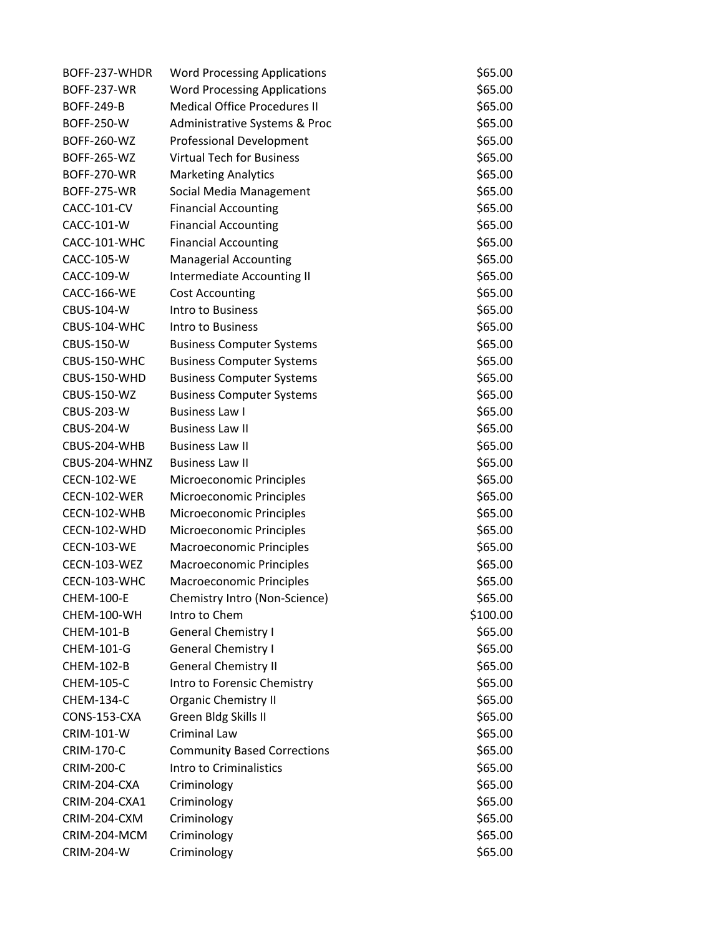| BOFF-237-WHDR      | <b>Word Processing Applications</b> | \$65.00  |
|--------------------|-------------------------------------|----------|
| <b>BOFF-237-WR</b> | <b>Word Processing Applications</b> | \$65.00  |
| <b>BOFF-249-B</b>  | <b>Medical Office Procedures II</b> | \$65.00  |
| <b>BOFF-250-W</b>  | Administrative Systems & Proc       | \$65.00  |
| BOFF-260-WZ        | <b>Professional Development</b>     | \$65.00  |
| BOFF-265-WZ        | <b>Virtual Tech for Business</b>    | \$65.00  |
| <b>BOFF-270-WR</b> | <b>Marketing Analytics</b>          | \$65.00  |
| <b>BOFF-275-WR</b> | Social Media Management             | \$65.00  |
| CACC-101-CV        | <b>Financial Accounting</b>         | \$65.00  |
| CACC-101-W         | <b>Financial Accounting</b>         | \$65.00  |
| CACC-101-WHC       | <b>Financial Accounting</b>         | \$65.00  |
| CACC-105-W         | <b>Managerial Accounting</b>        | \$65.00  |
| CACC-109-W         | Intermediate Accounting II          | \$65.00  |
| CACC-166-WE        | <b>Cost Accounting</b>              | \$65.00  |
| <b>CBUS-104-W</b>  | Intro to Business                   | \$65.00  |
| CBUS-104-WHC       | Intro to Business                   | \$65.00  |
| CBUS-150-W         | <b>Business Computer Systems</b>    | \$65.00  |
| CBUS-150-WHC       | <b>Business Computer Systems</b>    | \$65.00  |
| CBUS-150-WHD       | <b>Business Computer Systems</b>    | \$65.00  |
| <b>CBUS-150-WZ</b> | <b>Business Computer Systems</b>    | \$65.00  |
| <b>CBUS-203-W</b>  | <b>Business Law I</b>               | \$65.00  |
| <b>CBUS-204-W</b>  | <b>Business Law II</b>              | \$65.00  |
| CBUS-204-WHB       | <b>Business Law II</b>              | \$65.00  |
| CBUS-204-WHNZ      | <b>Business Law II</b>              | \$65.00  |
| <b>CECN-102-WE</b> | Microeconomic Principles            | \$65.00  |
| CECN-102-WER       | Microeconomic Principles            | \$65.00  |
| CECN-102-WHB       | Microeconomic Principles            | \$65.00  |
| CECN-102-WHD       | Microeconomic Principles            | \$65.00  |
| <b>CECN-103-WE</b> | Macroeconomic Principles            | \$65.00  |
| CECN-103-WEZ       | Macroeconomic Principles            | \$65.00  |
| CECN-103-WHC       | Macroeconomic Principles            | \$65.00  |
| <b>CHEM-100-E</b>  | Chemistry Intro (Non-Science)       | \$65.00  |
| CHEM-100-WH        | Intro to Chem                       | \$100.00 |
| CHEM-101-B         | <b>General Chemistry I</b>          | \$65.00  |
| CHEM-101-G         | <b>General Chemistry I</b>          | \$65.00  |
| CHEM-102-B         | <b>General Chemistry II</b>         | \$65.00  |
| CHEM-105-C         | Intro to Forensic Chemistry         | \$65.00  |
| CHEM-134-C         | <b>Organic Chemistry II</b>         | \$65.00  |
| CONS-153-CXA       | Green Bldg Skills II                | \$65.00  |
| <b>CRIM-101-W</b>  | <b>Criminal Law</b>                 | \$65.00  |
| <b>CRIM-170-C</b>  | <b>Community Based Corrections</b>  | \$65.00  |
| <b>CRIM-200-C</b>  | Intro to Criminalistics             | \$65.00  |
| CRIM-204-CXA       | Criminology                         | \$65.00  |
| CRIM-204-CXA1      | Criminology                         | \$65.00  |
| CRIM-204-CXM       | Criminology                         | \$65.00  |
| CRIM-204-MCM       | Criminology                         | \$65.00  |
| <b>CRIM-204-W</b>  | Criminology                         | \$65.00  |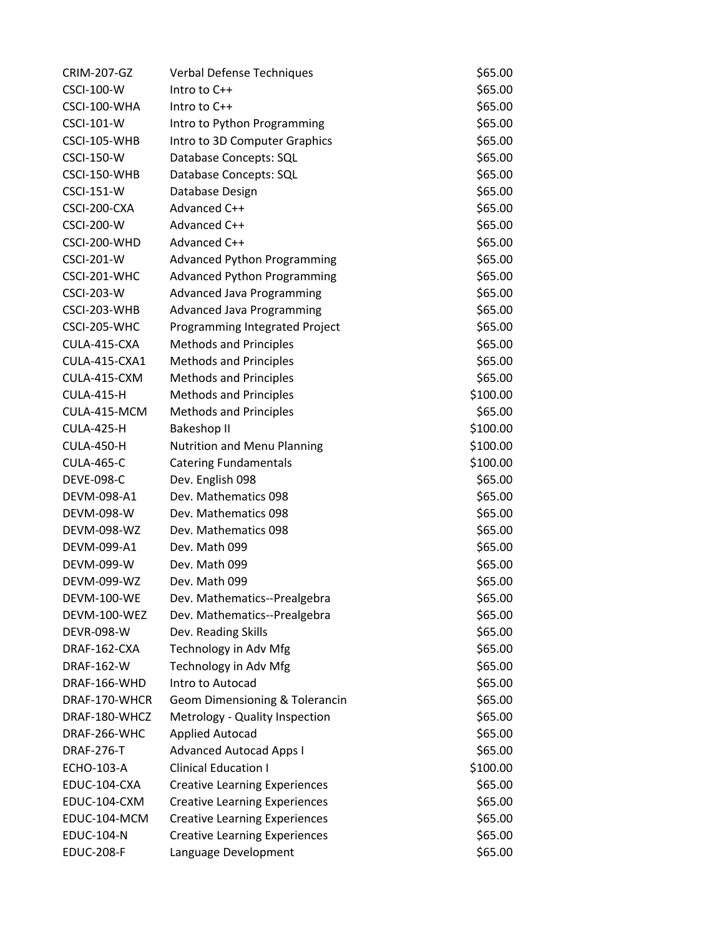| <b>CRIM-207-GZ</b> | <b>Verbal Defense Techniques</b>     | \$65.00  |
|--------------------|--------------------------------------|----------|
| <b>CSCI-100-W</b>  | Intro to $C++$                       | \$65.00  |
| CSCI-100-WHA       | Intro to $C++$                       | \$65.00  |
| <b>CSCI-101-W</b>  | Intro to Python Programming          | \$65.00  |
| CSCI-105-WHB       | Intro to 3D Computer Graphics        | \$65.00  |
| <b>CSCI-150-W</b>  | Database Concepts: SQL               | \$65.00  |
| CSCI-150-WHB       | Database Concepts: SQL               | \$65.00  |
| <b>CSCI-151-W</b>  | Database Design                      | \$65.00  |
| CSCI-200-CXA       | Advanced C++                         | \$65.00  |
| <b>CSCI-200-W</b>  | Advanced C++                         | \$65.00  |
| CSCI-200-WHD       | Advanced C++                         | \$65.00  |
| <b>CSCI-201-W</b>  | <b>Advanced Python Programming</b>   | \$65.00  |
| CSCI-201-WHC       | <b>Advanced Python Programming</b>   | \$65.00  |
| <b>CSCI-203-W</b>  | <b>Advanced Java Programming</b>     | \$65.00  |
| CSCI-203-WHB       | <b>Advanced Java Programming</b>     | \$65.00  |
| CSCI-205-WHC       | Programming Integrated Project       | \$65.00  |
| CULA-415-CXA       | <b>Methods and Principles</b>        | \$65.00  |
| CULA-415-CXA1      | <b>Methods and Principles</b>        | \$65.00  |
| CULA-415-CXM       | <b>Methods and Principles</b>        | \$65.00  |
| <b>CULA-415-H</b>  | <b>Methods and Principles</b>        | \$100.00 |
| CULA-415-MCM       | <b>Methods and Principles</b>        | \$65.00  |
| <b>CULA-425-H</b>  | Bakeshop II                          | \$100.00 |
| <b>CULA-450-H</b>  | <b>Nutrition and Menu Planning</b>   | \$100.00 |
| <b>CULA-465-C</b>  | <b>Catering Fundamentals</b>         | \$100.00 |
| <b>DEVE-098-C</b>  | Dev. English 098                     | \$65.00  |
| DEVM-098-A1        | Dev. Mathematics 098                 | \$65.00  |
| DEVM-098-W         | Dev. Mathematics 098                 | \$65.00  |
| DEVM-098-WZ        | Dev. Mathematics 098                 | \$65.00  |
| DEVM-099-A1        | Dev. Math 099                        | \$65.00  |
| DEVM-099-W         | Dev. Math 099                        | \$65.00  |
| DEVM-099-WZ        | Dev. Math 099                        | \$65.00  |
| <b>DEVM-100-WE</b> | Dev. Mathematics--Prealgebra         | \$65.00  |
| DEVM-100-WEZ       | Dev. Mathematics--Prealgebra         | \$65.00  |
| <b>DEVR-098-W</b>  | Dev. Reading Skills                  | \$65.00  |
| DRAF-162-CXA       | Technology in Adv Mfg                | \$65.00  |
| DRAF-162-W         | Technology in Adv Mfg                | \$65.00  |
| DRAF-166-WHD       | Intro to Autocad                     | \$65.00  |
| DRAF-170-WHCR      | Geom Dimensioning & Tolerancin       | \$65.00  |
| DRAF-180-WHCZ      | Metrology - Quality Inspection       | \$65.00  |
| DRAF-266-WHC       | <b>Applied Autocad</b>               | \$65.00  |
| <b>DRAF-276-T</b>  | <b>Advanced Autocad Apps I</b>       | \$65.00  |
| <b>ECHO-103-A</b>  | <b>Clinical Education I</b>          | \$100.00 |
| EDUC-104-CXA       | <b>Creative Learning Experiences</b> | \$65.00  |
| EDUC-104-CXM       | <b>Creative Learning Experiences</b> | \$65.00  |
| EDUC-104-MCM       | <b>Creative Learning Experiences</b> | \$65.00  |
| <b>EDUC-104-N</b>  | <b>Creative Learning Experiences</b> | \$65.00  |
| <b>EDUC-208-F</b>  | Language Development                 | \$65.00  |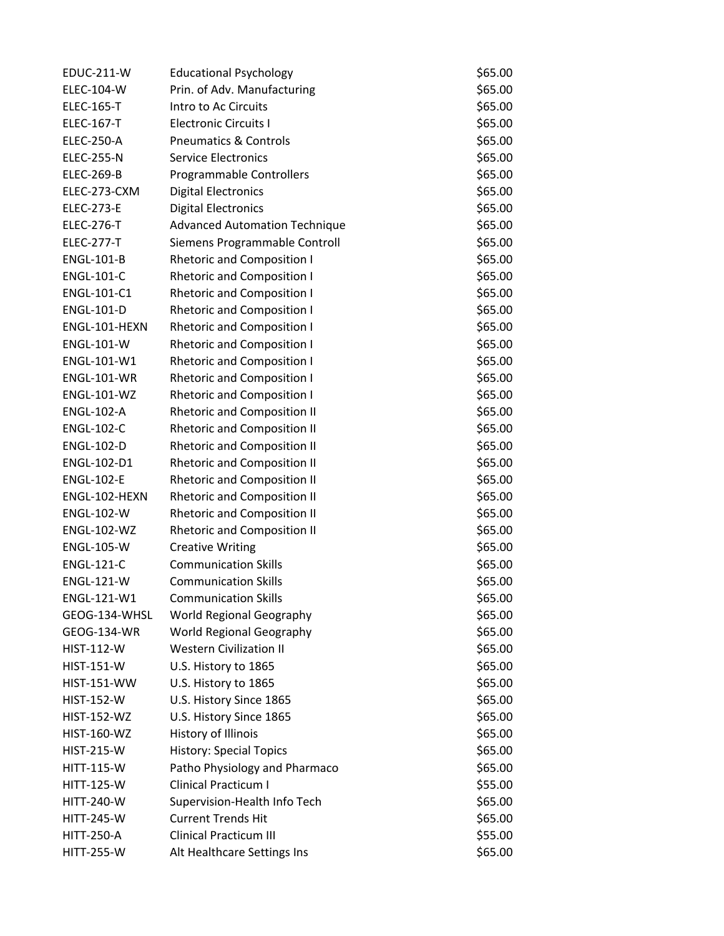| <b>EDUC-211-W</b>  | <b>Educational Psychology</b>        | \$65.00 |
|--------------------|--------------------------------------|---------|
| ELEC-104-W         | Prin. of Adv. Manufacturing          | \$65.00 |
| <b>ELEC-165-T</b>  | Intro to Ac Circuits                 | \$65.00 |
| <b>ELEC-167-T</b>  | <b>Electronic Circuits I</b>         | \$65.00 |
| <b>ELEC-250-A</b>  | <b>Pneumatics &amp; Controls</b>     | \$65.00 |
| <b>ELEC-255-N</b>  | <b>Service Electronics</b>           | \$65.00 |
| <b>ELEC-269-B</b>  | Programmable Controllers             | \$65.00 |
| ELEC-273-CXM       | <b>Digital Electronics</b>           | \$65.00 |
| <b>ELEC-273-E</b>  | <b>Digital Electronics</b>           | \$65.00 |
| <b>ELEC-276-T</b>  | <b>Advanced Automation Technique</b> | \$65.00 |
| <b>ELEC-277-T</b>  | Siemens Programmable Controll        | \$65.00 |
| <b>ENGL-101-B</b>  | <b>Rhetoric and Composition I</b>    | \$65.00 |
| <b>ENGL-101-C</b>  | <b>Rhetoric and Composition I</b>    | \$65.00 |
| ENGL-101-C1        | <b>Rhetoric and Composition I</b>    | \$65.00 |
| <b>ENGL-101-D</b>  | <b>Rhetoric and Composition I</b>    | \$65.00 |
| ENGL-101-HEXN      | <b>Rhetoric and Composition I</b>    | \$65.00 |
| <b>ENGL-101-W</b>  | <b>Rhetoric and Composition I</b>    | \$65.00 |
| ENGL-101-W1        | <b>Rhetoric and Composition I</b>    | \$65.00 |
| <b>ENGL-101-WR</b> | <b>Rhetoric and Composition I</b>    | \$65.00 |
| <b>ENGL-101-WZ</b> | <b>Rhetoric and Composition I</b>    | \$65.00 |
| <b>ENGL-102-A</b>  | <b>Rhetoric and Composition II</b>   | \$65.00 |
| <b>ENGL-102-C</b>  | <b>Rhetoric and Composition II</b>   | \$65.00 |
| <b>ENGL-102-D</b>  | <b>Rhetoric and Composition II</b>   | \$65.00 |
| ENGL-102-D1        | <b>Rhetoric and Composition II</b>   | \$65.00 |
| <b>ENGL-102-E</b>  | <b>Rhetoric and Composition II</b>   | \$65.00 |
| ENGL-102-HEXN      | <b>Rhetoric and Composition II</b>   | \$65.00 |
| <b>ENGL-102-W</b>  | <b>Rhetoric and Composition II</b>   | \$65.00 |
| <b>ENGL-102-WZ</b> | <b>Rhetoric and Composition II</b>   | \$65.00 |
| <b>ENGL-105-W</b>  | <b>Creative Writing</b>              | \$65.00 |
| <b>ENGL-121-C</b>  | <b>Communication Skills</b>          | \$65.00 |
| <b>ENGL-121-W</b>  | <b>Communication Skills</b>          | \$65.00 |
| ENGL-121-W1        | <b>Communication Skills</b>          | \$65.00 |
| GEOG-134-WHSL      | World Regional Geography             | \$65.00 |
| GEOG-134-WR        | World Regional Geography             | \$65.00 |
| <b>HIST-112-W</b>  | <b>Western Civilization II</b>       | \$65.00 |
| <b>HIST-151-W</b>  | U.S. History to 1865                 | \$65.00 |
| <b>HIST-151-WW</b> | U.S. History to 1865                 | \$65.00 |
| <b>HIST-152-W</b>  | U.S. History Since 1865              | \$65.00 |
| <b>HIST-152-WZ</b> | U.S. History Since 1865              | \$65.00 |
| <b>HIST-160-WZ</b> | History of Illinois                  | \$65.00 |
| <b>HIST-215-W</b>  | <b>History: Special Topics</b>       | \$65.00 |
| <b>HITT-115-W</b>  | Patho Physiology and Pharmaco        | \$65.00 |
| <b>HITT-125-W</b>  | <b>Clinical Practicum I</b>          | \$55.00 |
| <b>HITT-240-W</b>  | Supervision-Health Info Tech         | \$65.00 |
| <b>HITT-245-W</b>  | <b>Current Trends Hit</b>            | \$65.00 |
| <b>HITT-250-A</b>  | <b>Clinical Practicum III</b>        | \$55.00 |
| <b>HITT-255-W</b>  | Alt Healthcare Settings Ins          | \$65.00 |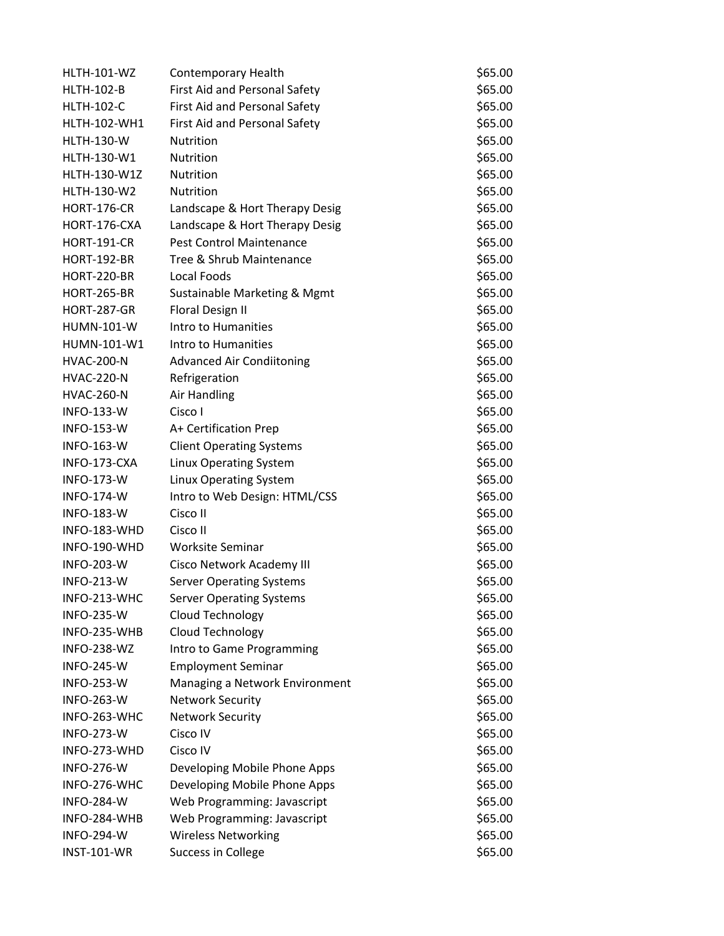| <b>HLTH-101-WZ</b> | <b>Contemporary Health</b>       | \$65.00 |
|--------------------|----------------------------------|---------|
| <b>HLTH-102-B</b>  | First Aid and Personal Safety    | \$65.00 |
| <b>HLTH-102-C</b>  | First Aid and Personal Safety    | \$65.00 |
| HLTH-102-WH1       | First Aid and Personal Safety    | \$65.00 |
| <b>HLTH-130-W</b>  | <b>Nutrition</b>                 | \$65.00 |
| HLTH-130-W1        | Nutrition                        | \$65.00 |
| HLTH-130-W1Z       | Nutrition                        | \$65.00 |
| <b>HLTH-130-W2</b> | Nutrition                        | \$65.00 |
| <b>HORT-176-CR</b> | Landscape & Hort Therapy Desig   | \$65.00 |
| HORT-176-CXA       | Landscape & Hort Therapy Desig   | \$65.00 |
| <b>HORT-191-CR</b> | Pest Control Maintenance         | \$65.00 |
| <b>HORT-192-BR</b> | Tree & Shrub Maintenance         | \$65.00 |
| <b>HORT-220-BR</b> | Local Foods                      | \$65.00 |
| <b>HORT-265-BR</b> | Sustainable Marketing & Mgmt     | \$65.00 |
| <b>HORT-287-GR</b> | Floral Design II                 | \$65.00 |
| <b>HUMN-101-W</b>  | Intro to Humanities              | \$65.00 |
| HUMN-101-W1        | Intro to Humanities              | \$65.00 |
| <b>HVAC-200-N</b>  | <b>Advanced Air Condiitoning</b> | \$65.00 |
| <b>HVAC-220-N</b>  | Refrigeration                    | \$65.00 |
| <b>HVAC-260-N</b>  | Air Handling                     | \$65.00 |
| <b>INFO-133-W</b>  | Cisco I                          | \$65.00 |
| <b>INFO-153-W</b>  | A+ Certification Prep            | \$65.00 |
| <b>INFO-163-W</b>  | <b>Client Operating Systems</b>  | \$65.00 |
| INFO-173-CXA       | Linux Operating System           | \$65.00 |
| <b>INFO-173-W</b>  | Linux Operating System           | \$65.00 |
| <b>INFO-174-W</b>  | Intro to Web Design: HTML/CSS    | \$65.00 |
| <b>INFO-183-W</b>  | Cisco II                         | \$65.00 |
| INFO-183-WHD       | Cisco II                         | \$65.00 |
| INFO-190-WHD       | <b>Worksite Seminar</b>          | \$65.00 |
| <b>INFO-203-W</b>  | Cisco Network Academy III        | \$65.00 |
| <b>INFO-213-W</b>  | <b>Server Operating Systems</b>  | \$65.00 |
| INFO-213-WHC       | <b>Server Operating Systems</b>  | \$65.00 |
| <b>INFO-235-W</b>  | Cloud Technology                 | \$65.00 |
| INFO-235-WHB       | Cloud Technology                 | \$65.00 |
| <b>INFO-238-WZ</b> | Intro to Game Programming        | \$65.00 |
| <b>INFO-245-W</b>  | <b>Employment Seminar</b>        | \$65.00 |
| <b>INFO-253-W</b>  | Managing a Network Environment   | \$65.00 |
| <b>INFO-263-W</b>  | <b>Network Security</b>          | \$65.00 |
| INFO-263-WHC       | <b>Network Security</b>          | \$65.00 |
| <b>INFO-273-W</b>  | Cisco IV                         | \$65.00 |
| INFO-273-WHD       | Cisco IV                         | \$65.00 |
| <b>INFO-276-W</b>  | Developing Mobile Phone Apps     | \$65.00 |
| INFO-276-WHC       | Developing Mobile Phone Apps     | \$65.00 |
| <b>INFO-284-W</b>  | Web Programming: Javascript      | \$65.00 |
| INFO-284-WHB       | Web Programming: Javascript      | \$65.00 |
| <b>INFO-294-W</b>  | <b>Wireless Networking</b>       | \$65.00 |
| <b>INST-101-WR</b> | Success in College               | \$65.00 |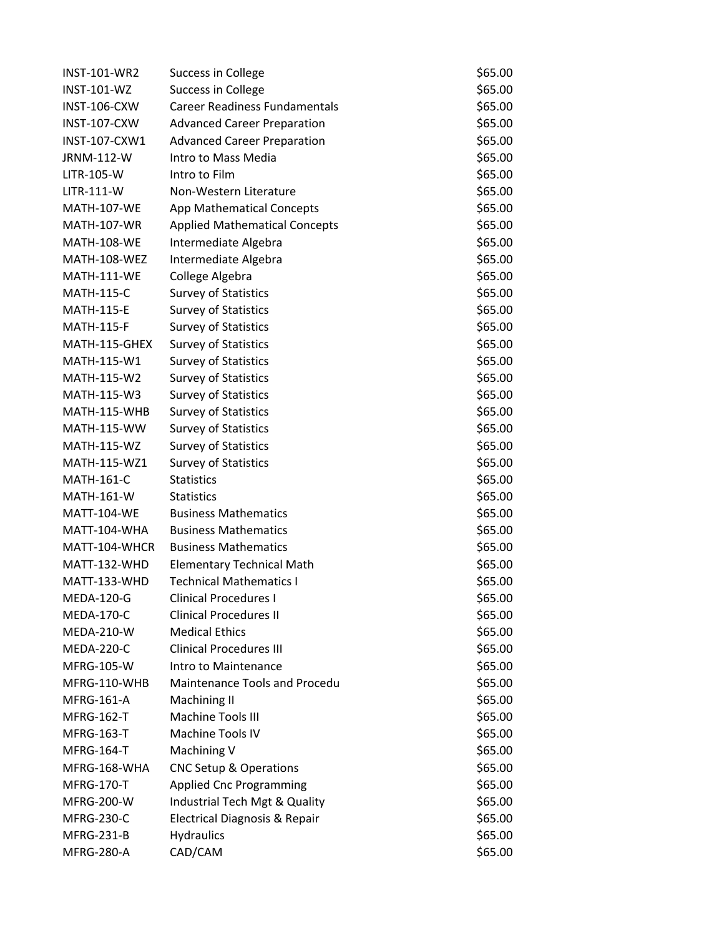| INST-101-WR2        | Success in College                   | \$65.00 |
|---------------------|--------------------------------------|---------|
| <b>INST-101-WZ</b>  | Success in College                   | \$65.00 |
| INST-106-CXW        | <b>Career Readiness Fundamentals</b> | \$65.00 |
| INST-107-CXW        | <b>Advanced Career Preparation</b>   | \$65.00 |
| INST-107-CXW1       | <b>Advanced Career Preparation</b>   | \$65.00 |
| JRNM-112-W          | Intro to Mass Media                  | \$65.00 |
| LITR-105-W          | Intro to Film                        | \$65.00 |
| <b>LITR-111-W</b>   | Non-Western Literature               | \$65.00 |
| <b>MATH-107-WE</b>  | App Mathematical Concepts            | \$65.00 |
| <b>MATH-107-WR</b>  | <b>Applied Mathematical Concepts</b> | \$65.00 |
| <b>MATH-108-WE</b>  | Intermediate Algebra                 | \$65.00 |
| <b>MATH-108-WEZ</b> | Intermediate Algebra                 | \$65.00 |
| <b>MATH-111-WE</b>  | College Algebra                      | \$65.00 |
| <b>MATH-115-C</b>   | <b>Survey of Statistics</b>          | \$65.00 |
| <b>MATH-115-E</b>   | <b>Survey of Statistics</b>          | \$65.00 |
| <b>MATH-115-F</b>   | <b>Survey of Statistics</b>          | \$65.00 |
| MATH-115-GHEX       | <b>Survey of Statistics</b>          | \$65.00 |
| MATH-115-W1         | <b>Survey of Statistics</b>          | \$65.00 |
| MATH-115-W2         | <b>Survey of Statistics</b>          | \$65.00 |
| MATH-115-W3         | <b>Survey of Statistics</b>          | \$65.00 |
| MATH-115-WHB        | <b>Survey of Statistics</b>          | \$65.00 |
| <b>MATH-115-WW</b>  | <b>Survey of Statistics</b>          | \$65.00 |
| <b>MATH-115-WZ</b>  | <b>Survey of Statistics</b>          | \$65.00 |
| MATH-115-WZ1        | <b>Survey of Statistics</b>          | \$65.00 |
| <b>MATH-161-C</b>   | <b>Statistics</b>                    | \$65.00 |
| MATH-161-W          | <b>Statistics</b>                    | \$65.00 |
| <b>MATT-104-WE</b>  | <b>Business Mathematics</b>          | \$65.00 |
| MATT-104-WHA        | <b>Business Mathematics</b>          | \$65.00 |
| MATT-104-WHCR       | <b>Business Mathematics</b>          | \$65.00 |
| MATT-132-WHD        | <b>Elementary Technical Math</b>     | \$65.00 |
| MATT-133-WHD        | <b>Technical Mathematics I</b>       | \$65.00 |
| <b>MEDA-120-G</b>   | <b>Clinical Procedures I</b>         | \$65.00 |
| <b>MEDA-170-C</b>   | <b>Clinical Procedures II</b>        | \$65.00 |
| <b>MEDA-210-W</b>   | <b>Medical Ethics</b>                | \$65.00 |
| <b>MEDA-220-C</b>   | <b>Clinical Procedures III</b>       | \$65.00 |
| <b>MFRG-105-W</b>   | Intro to Maintenance                 | \$65.00 |
| MFRG-110-WHB        | Maintenance Tools and Procedu        | \$65.00 |
| <b>MFRG-161-A</b>   | <b>Machining II</b>                  | \$65.00 |
| <b>MFRG-162-T</b>   | <b>Machine Tools III</b>             | \$65.00 |
| <b>MFRG-163-T</b>   | <b>Machine Tools IV</b>              | \$65.00 |
| <b>MFRG-164-T</b>   | Machining V                          | \$65.00 |
| MFRG-168-WHA        | <b>CNC Setup &amp; Operations</b>    | \$65.00 |
| <b>MFRG-170-T</b>   | <b>Applied Cnc Programming</b>       | \$65.00 |
| <b>MFRG-200-W</b>   | Industrial Tech Mgt & Quality        | \$65.00 |
| <b>MFRG-230-C</b>   | Electrical Diagnosis & Repair        | \$65.00 |
| MFRG-231-B          | <b>Hydraulics</b>                    | \$65.00 |
| <b>MFRG-280-A</b>   | CAD/CAM                              | \$65.00 |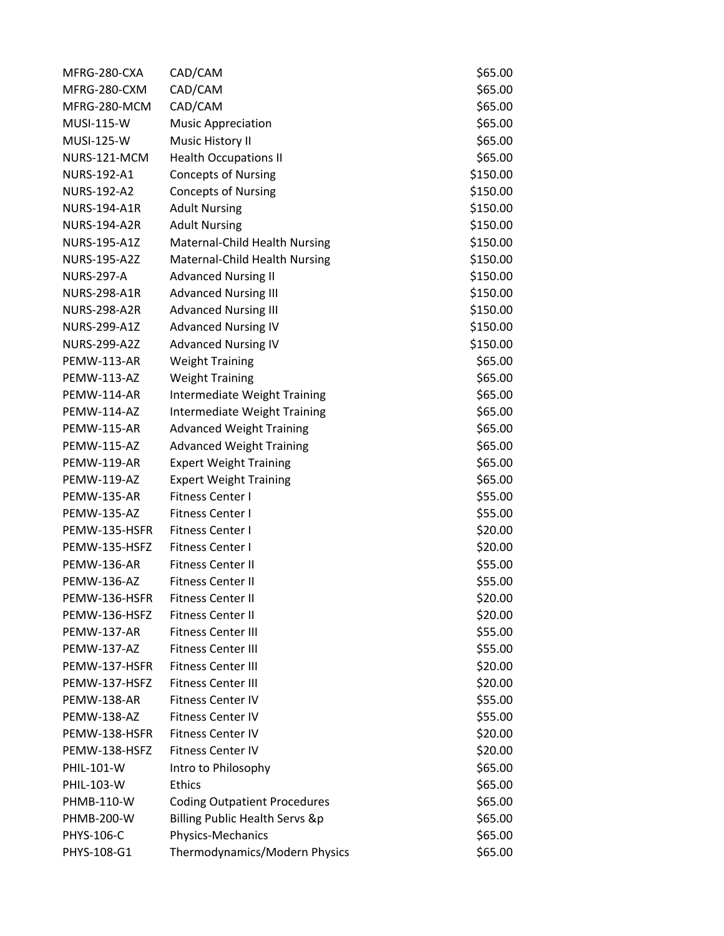| MFRG-280-CXA        | CAD/CAM                             | \$65.00  |
|---------------------|-------------------------------------|----------|
| MFRG-280-CXM        | CAD/CAM                             | \$65.00  |
| MFRG-280-MCM        | CAD/CAM                             | \$65.00  |
| <b>MUSI-115-W</b>   | <b>Music Appreciation</b>           | \$65.00  |
| <b>MUSI-125-W</b>   | Music History II                    | \$65.00  |
| NURS-121-MCM        | <b>Health Occupations II</b>        | \$65.00  |
| NURS-192-A1         | <b>Concepts of Nursing</b>          | \$150.00 |
| NURS-192-A2         | <b>Concepts of Nursing</b>          | \$150.00 |
| <b>NURS-194-A1R</b> | <b>Adult Nursing</b>                | \$150.00 |
| <b>NURS-194-A2R</b> | <b>Adult Nursing</b>                | \$150.00 |
| NURS-195-A1Z        | Maternal-Child Health Nursing       | \$150.00 |
| <b>NURS-195-A2Z</b> | Maternal-Child Health Nursing       | \$150.00 |
| <b>NURS-297-A</b>   | <b>Advanced Nursing II</b>          | \$150.00 |
| <b>NURS-298-A1R</b> | <b>Advanced Nursing III</b>         | \$150.00 |
| <b>NURS-298-A2R</b> | <b>Advanced Nursing III</b>         | \$150.00 |
| <b>NURS-299-A1Z</b> | <b>Advanced Nursing IV</b>          | \$150.00 |
| <b>NURS-299-A2Z</b> | <b>Advanced Nursing IV</b>          | \$150.00 |
| <b>PEMW-113-AR</b>  | <b>Weight Training</b>              | \$65.00  |
| PEMW-113-AZ         | <b>Weight Training</b>              | \$65.00  |
| PEMW-114-AR         | Intermediate Weight Training        | \$65.00  |
| PEMW-114-AZ         | Intermediate Weight Training        | \$65.00  |
| <b>PEMW-115-AR</b>  | <b>Advanced Weight Training</b>     | \$65.00  |
| <b>PEMW-115-AZ</b>  | <b>Advanced Weight Training</b>     | \$65.00  |
| <b>PEMW-119-AR</b>  | <b>Expert Weight Training</b>       | \$65.00  |
| <b>PEMW-119-AZ</b>  | <b>Expert Weight Training</b>       | \$65.00  |
| PEMW-135-AR         | Fitness Center I                    | \$55.00  |
| <b>PEMW-135-AZ</b>  | <b>Fitness Center I</b>             | \$55.00  |
| PEMW-135-HSFR       | <b>Fitness Center I</b>             | \$20.00  |
| PEMW-135-HSFZ       | <b>Fitness Center I</b>             | \$20.00  |
| PEMW-136-AR         | <b>Fitness Center II</b>            | \$55.00  |
| PEMW-136-AZ         | <b>Fitness Center II</b>            | \$55.00  |
| PEMW-136-HSFR       | <b>Fitness Center II</b>            | \$20.00  |
| PEMW-136-HSFZ       | Fitness Center II                   | \$20.00  |
| PEMW-137-AR         | <b>Fitness Center III</b>           | \$55.00  |
| PEMW-137-AZ         | <b>Fitness Center III</b>           | \$55.00  |
| PEMW-137-HSFR       | <b>Fitness Center III</b>           | \$20.00  |
| PEMW-137-HSFZ       | <b>Fitness Center III</b>           | \$20.00  |
| PEMW-138-AR         | <b>Fitness Center IV</b>            | \$55.00  |
| PEMW-138-AZ         | <b>Fitness Center IV</b>            | \$55.00  |
| PEMW-138-HSFR       | <b>Fitness Center IV</b>            | \$20.00  |
| PEMW-138-HSFZ       | <b>Fitness Center IV</b>            | \$20.00  |
| <b>PHIL-101-W</b>   | Intro to Philosophy                 | \$65.00  |
| PHIL-103-W          | <b>Ethics</b>                       | \$65.00  |
| PHMB-110-W          | <b>Coding Outpatient Procedures</b> | \$65.00  |
| <b>PHMB-200-W</b>   | Billing Public Health Servs &p      | \$65.00  |
| PHYS-106-C          | Physics-Mechanics                   | \$65.00  |
| PHYS-108-G1         | Thermodynamics/Modern Physics       | \$65.00  |